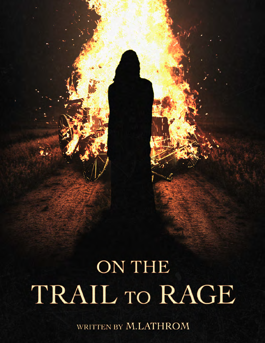**ON THE** TRAIL TO RAGE

WRITTEN BY M.LATHROM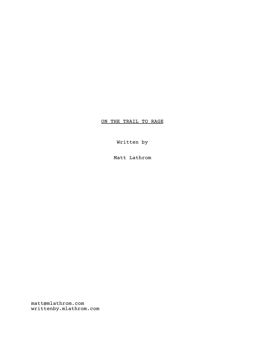## ON THE TRAIL TO RAGE

Written by

Matt Lathrom

matt@mlathrom.com writtenby.mlathrom.com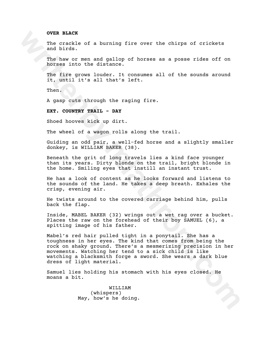## **OVER BLACK**

The crackle of a burning fire over the chirps of crickets and birds.

The haw or men and gallop of horses as a posse rides off on horses into the distance.

The fire grows louder. It consumes all of the sounds around it, until it's all that's left.

Then.

A gasp cuts through the raging fire.

**EXT. COUNTRY TRAIL - DAY**

Shoed hooves kick up dirt.

The wheel of a wagon rolls along the trail.

Guiding an odd pair, a well-fed horse and a slightly smaller donkey, is WILLIAM BAKER (38).

Beneath the grit of long travels lies a kind face younger than its years. Dirty blonde on the trail, bright blonde in the home. Smiling eyes that instill an instant trust.

He has a look of content as he looks forward and listens to the sounds of the land. He takes a deep breath. Exhales the crisp, evening air.

He twists around to the covered carriage behind him, pulls back the flap.

Inside, MABEL BAKER (32) wrings out a wet rag over a bucket. Places the raw on the forehead of their boy SAMUEL (6), a spitting image of his father.

**WTHE EXAMPLE SET ANTER (32) OFINITE AND ANOTE THE CARD INTERED AND INTERED AND INTERED AND NOTE THE CARD OF A SET AND A SET AND A SET AND A SET AND A SET AND A SET AND A SET AND A SET AND A SET AND NOTE THAT A SET AND NOT** Mabel's red hair pulled tight in a ponytail. She has a toughness in her eyes. The kind that comes from being the rock on shaky ground. There's a mesmerizing precision in her movements. Watching her tend to a sick child is like watching a blacksmith forge a sword. She wears a dark blue dress of light material.

Samuel lies holding his stomach with his eyes closed. He moans a bit.

> WILLIAM (whispers) May, how's he doing.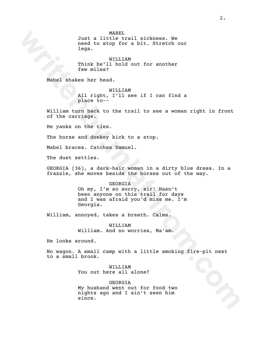MABEL

Just a little trail sickness. We need to stop for a bit. Stretch our legs.

WILLIAM Think he'll hold out for another few miles?

Mabel shakes her head.

WILLIAM All right, I'll see if I can find a place to--

William turn back to the trail to see a woman right in front of the carriage.

He yanks on the ties.

The horse and donkey kick to a stop.

Mabel braces. Catches Samuel.

The dust settles.

GEORGIA (36), a dark-hair woman in a dirty blue dress. In a frazzle, she moves beside the horses out of the way.

GEORGIA

Just a little trail sickness. We<br>need to stop for a bit. Stretch our<br>legs.<br>Think he'llinold out for another<br>examples?<br>Think he'llinold out for another<br>Xabel shakes her head.<br>All right.<sup>1711</sup> see if I can find a<br>William tur Oh my, I'm so sorry, sir! Hasn't been anyone on this trail for days and I was afraid you'd miss me. I'm Georgia.

William, annoyed, takes a breath. Calms.

WILLIAM William. And no worries, Ma'am.

He looks around.

No wagon. A small camp with a little smoking fire-pit next to a small brook.

> WILLIAM You out here all alone?

GEORGIA My husband went out for food two nights ago and I ain't seen him since.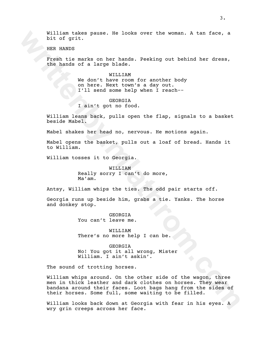William takes pause. He looks over the woman. A tan face, a bit of grit.

HER HANDS

Fresh tie marks on her hands. Peeking out behind her dress, the hands of a large blade.

> WILLIAM We don't have room for another body on here. Next town's a day out. I'll send some help when I reach--

GEORGIA I ain't got no food.

William leans back, pulls open the flap, signals to a basket beside Mabel.

Mabel shakes her head no, nervous. He motions again.

Mabel opens the basket, pulls out a loaf of bread. Hands it to William.

William tosses it to Georgia.

WILLIAM Really sorry I can't do more, Ma'am.

Antsy, William whips the ties. The odd pair starts off.

Georgia runs up beside him, grabs a tie. Yanks. The horse and donkey stop.

> GEORGIA You can't leave me.

WILLIAM There's no more help I can be.

GEORGIA No! You got it all wrong, Mister William. I ain't askin'.

The sound of trotting horses.

William takes pause. He looks over the woman. A tan face, a<br>
Mix of grit.<br>
HEX RANDS<br>
Treath is marks on her hands. Peeking out behind her dress,<br>
the hands of a large blade.<br>
We don't have room for another body<br>
on here. William whips around. On the other side of the wagon, three men in thick leather and dark clothes on horses. They wear bandana around their faces. Loot bags hang from the sides of their horses. Some full, some waiting to be filled.

William looks back down at Georgia with fear in his eyes. A wry grin creeps across her face.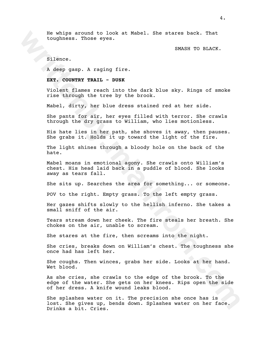He whips around to look at Mabel. She stares back. That toughness. Those eyes.

SMASH TO BLACK.

Silence.

A deep gasp. A raging fire.

## **EXT. COUNTRY TRAIL - DUSK**

Violent flames reach into the dark blue sky. Rings of smoke rise through the tree by the brook.

Mabel, dirty, her blue dress stained red at her side.

She pants for air, her eyes filled with terror. She crawls through the dry grass to William, who lies motionless.

His hate lies in her path, she shoves it away, then pauses. She grabs it. Holds it up toward the light of the fire.

The light shines through a bloody hole on the back of the hate.

Mabel moans in emotional agony. She crawls onto William's chest. His head laid back in a puddle of blood. She looks away as tears fall.

She sits up. Searches the area for something... or someone.

POV to the right. Empty grass. To the left empty grass.

Her gazes shifts slowly to the hellish inferno. She takes a small sniff of the air.

Tears stream down her cheek. The fire steals her breath. She chokes on the air, unable to scream.

She stares at the fire, then screams into the night.

She cries, breaks down on William's chest. The toughness she once had has left her.

She coughs. Then winces, grabs her side. Looks at her hand. Wet blood.

**Example 10** to book at Kabel. She stares back. That<br>toughness. Those eyes.<br>Shakes 20 BLACK.<br>Silence.<br>Note: Those eyes.<br>Note: There are this to the dark blue sky, Rings of smoke<br>rise through the tree by the brook.<br>Note:  $\$ As she cries, she crawls to the edge of the brook. To the edge of the water. She gets on her knees. Rips open the side of her dress. A knife wound leaks blood.

She splashes water on it. The precision she once has is lost. She gives up, bends down. Splashes water on her face. Drinks a bit. Cries.